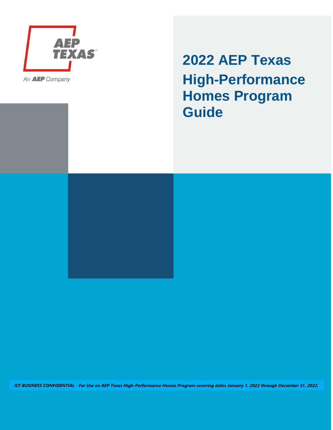

An **AEP** Company

**2022 AEP Texas High-Performance Homes Program Guide**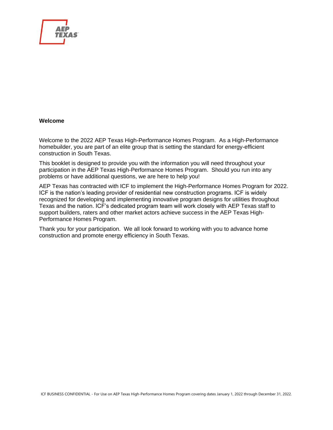

#### **Welcome**

Welcome to the 2022 AEP Texas High-Performance Homes Program. As a High-Performance homebuilder, you are part of an elite group that is setting the standard for energy-efficient construction in South Texas.

This booklet is designed to provide you with the information you will need throughout your participation in the AEP Texas High-Performance Homes Program. Should you run into any problems or have additional questions, we are here to help you!

AEP Texas has contracted with ICF to implement the High-Performance Homes Program for 2022. ICF is the nation's leading provider of residential new construction programs. ICF is widely recognized for developing and implementing innovative program designs for utilities throughout Texas and the nation. ICF's dedicated program team will work closely with AEP Texas staff to support builders, raters and other market actors achieve success in the AEP Texas High-Performance Homes Program.

Thank you for your participation. We all look forward to working with you to advance home construction and promote energy efficiency in South Texas.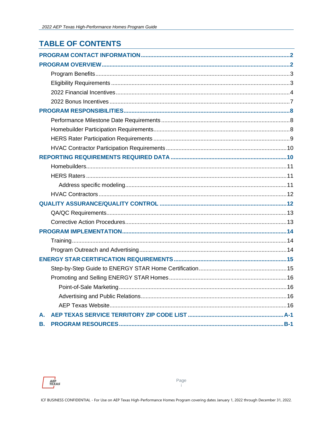# **TABLE OF CONTENTS**

| А. |  |
|----|--|
| В. |  |

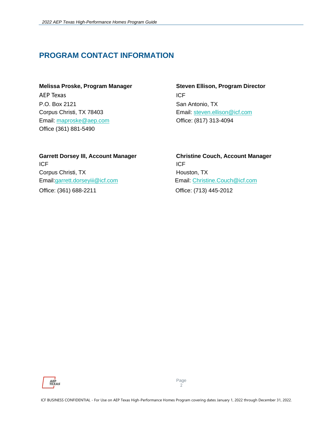# <span id="page-3-0"></span>**PROGRAM CONTACT INFORMATION**

AEP Texas in the state of the state of the state of the state of the state of the state of the state of the state of the state of the state of the state of the state of the state of the state of the state of the state of t P.O. Box 2121 San Antonio, TX Corpus Christi, TX 78403 Email: [steven.ellison@icf.com](mailto:steven.ellison@icf.com) Email: [maproske@aep.com](mailto:maproske@aep.com) Office: (817) 313-4094 Office (361) 881-5490

# **Melissa Proske, Program Manager Steven Ellison, Program Director**

# ICF ICF Corpus Christi, TX **Houston, TX** Houston, TX Email[:garrett.dorseyiii@icf.com](mailto:garrett.dorseyiii@icf.com) Email: [Christine.Couch@icf.com](mailto:Christine.Couch@icf.com) Office: (361) 688-2211 Office: (713) 445-2012

# <span id="page-3-1"></span>**Garrett Dorsey III, Account Manager Christine Couch, Account Manager**

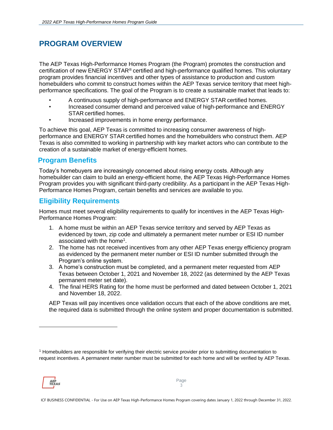# **PROGRAM OVERVIEW**

The AEP Texas High-Performance Homes Program (the Program) promotes the construction and certification of new ENERGY STAR® certified and high-performance qualified homes. This voluntary program provides financial incentives and other types of assistance to production and custom homebuilders who commit to construct homes within the AEP Texas service territory that meet highperformance specifications. The goal of the Program is to create a sustainable market that leads to:

- A continuous supply of high-performance and ENERGY STAR certified homes.
- Increased consumer demand and perceived value of high-performance and ENERGY STAR certified homes.
- Increased improvements in home energy performance.

To achieve this goal, AEP Texas is committed to increasing consumer awareness of highperformance and ENERGY STAR certified homes and the homebuilders who construct them. AEP Texas is also committed to working in partnership with key market actors who can contribute to the creation of a sustainable market of energy-efficient homes.

#### <span id="page-4-0"></span>**Program Benefits**

Today's homebuyers are increasingly concerned about rising energy costs. Although any homebuilder can claim to build an energy-efficient home, the AEP Texas High-Performance Homes Program provides you with significant third-party credibility. As a participant in the AEP Texas High-Performance Homes Program, certain benefits and services are available to you.

#### <span id="page-4-1"></span>**Eligibility Requirements**

Homes must meet several eligibility requirements to qualify for incentives in the AEP Texas High-Performance Homes Program:

- 1. A home must be within an AEP Texas service territory and served by AEP Texas as evidenced by town, zip code and ultimately a permanent meter number or ESI ID number associated with the home<sup>1</sup>.
- 2. The home has not received incentives from any other AEP Texas energy efficiency program as evidenced by the permanent meter number or ESI ID number submitted through the Program's online system.
- 3. A home's construction must be completed, and a permanent meter requested from AEP Texas between October 1, 2021 and November 18, 2022 (as determined by the AEP Texas permanent meter set date).
- 4. The final HERS Rating for the home must be performed and dated between October 1, 2021 and November 18, 2022.

AEP Texas will pay incentives once validation occurs that each of the above conditions are met, the required data is submitted through the online system and proper documentation is submitted.

<sup>1</sup> Homebuilders are responsible for verifying their electric service provider prior to submitting documentation to request incentives. A permanent meter number must be submitted for each home and will be verified by AEP Texas.



ICF BUSINESS CONFIDENTIAL - For Use on AEP Texas High-Performance Homes Program covering dates January 1, 2022 through December 31, 2022.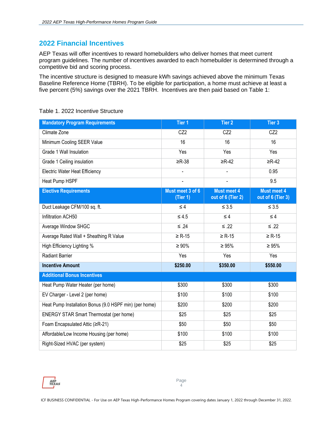#### <span id="page-5-0"></span>**2022 Financial Incentives**

AEP Texas will offer incentives to reward homebuilders who deliver homes that meet current program guidelines. The number of incentives awarded to each homebuilder is determined through a competitive bid and scoring process.

The incentive structure is designed to measure kWh savings achieved above the minimum Texas Baseline Reference Home (TBRH). To be eligible for participation, a home must achieve at least a five percent (5%) savings over the 2021 TBRH. Incentives are then paid based on Table 1:

| <b>Mandatory Program Requirements</b>                  | Tier 1                       | Tier 2                                  | Tier 3                                  |
|--------------------------------------------------------|------------------------------|-----------------------------------------|-----------------------------------------|
| Climate Zone                                           | CZ <sub>2</sub>              | CZ <sub>2</sub>                         | CZ <sub>2</sub>                         |
| Minimum Cooling SEER Value                             | 16                           | 16                                      | 16                                      |
| Grade 1 Wall Insulation                                | Yes                          | Yes                                     | Yes                                     |
| Grade 1 Ceiling insulation                             | $\geq R-38$                  | $\geq$ R-42                             | $\geq$ R-42                             |
| <b>Electric Water Heat Efficiency</b>                  |                              |                                         | 0.95                                    |
| Heat Pump HSPF                                         |                              |                                         | 9.5                                     |
| <b>Elective Requirements</b>                           | Must meet 3 of 6<br>(Tier 1) | <b>Must meet 4</b><br>out of 6 (Tier 2) | <b>Must meet 4</b><br>out of 6 (Tier 3) |
| Duct Leakage CFM/100 sq. ft.                           | $\leq 4$                     | $\leq 3.5$                              | $\leq 3.5$                              |
| Infiltration ACH50                                     | $\leq 4.5$                   | $\leq 4$                                | $\leq 4$                                |
| Average Window SHGC                                    | $≤ .24$                      | $≤ .22$                                 | $≤ .22$                                 |
| Average Rated Wall + Sheathing R Value                 | $\geq$ R-15                  | $\geq$ R-15                             | $\geq$ R-15                             |
| High Efficiency Lighting %                             | $\geq 90\%$                  | $\geq 95\%$                             | $\geq 95\%$                             |
| <b>Radiant Barrier</b>                                 | Yes                          | Yes                                     | Yes                                     |
| <b>Incentive Amount</b>                                | \$250.00                     | \$350.00                                | \$550.00                                |
| <b>Additional Bonus Incentives</b>                     |                              |                                         |                                         |
| Heat Pump Water Heater (per home)                      | \$300                        | \$300                                   | \$300                                   |
| EV Charger - Level 2 (per home)                        | \$100                        | \$100                                   | \$100                                   |
| Heat Pump Installation Bonus (9.0 HSPF min) (per home) | \$200                        | \$200                                   | \$200                                   |
| <b>ENERGY STAR Smart Thermostat (per home)</b>         | \$25                         | \$25                                    | \$25                                    |
| Foam Encapsulated Attic (≥R-21)                        | \$50                         | \$50                                    | \$50                                    |
| Affordable/Low Income Housing (per home)               | \$100                        | \$100                                   | \$100                                   |
| Right-Sized HVAC (per system)                          | \$25                         | \$25                                    | \$25                                    |

#### Table 1. 2022 Incentive Structure

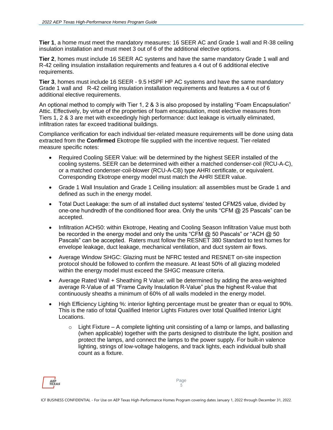**Tier 1**, a home must meet the mandatory measures: 16 SEER AC and Grade 1 wall and R-38 ceiling insulation installation and must meet 3 out of 6 of the additional elective options.

**Tier 2**, homes must include 16 SEER AC systems and have the same mandatory Grade 1 wall and R-42 ceiling insulation installation requirements and features a 4 out of 6 additional elective requirements.

**Tier 3**, homes must include 16 SEER - 9.5 HSPF HP AC systems and have the same mandatory Grade 1 wall and R-42 ceiling insulation installation requirements and features a 4 out of 6 additional elective requirements.

An optional method to comply with Tier 1, 2 & 3 is also proposed by installing "Foam Encapsulation" Attic. Effectively, by virtue of the properties of foam encapsulation, most elective measures from Tiers 1, 2 & 3 are met with exceedingly high performance: duct leakage is virtually eliminated, infiltration rates far exceed traditional buildings.

Compliance verification for each individual tier-related measure requirements will be done using data extracted from the **Confirmed** Ekotrope file supplied with the incentive request. Tier-related measure specific notes:

- Required Cooling SEER Value: will be determined by the highest SEER installed of the cooling systems. SEER can be determined with either a matched condenser-coil (RCU-A-C), or a matched condenser-coil-blower (RCU-A-CB) type AHRI certificate, or equivalent. Corresponding Ekotrope energy model must match the AHRI SEER value.
- Grade 1 Wall Insulation and Grade 1 Ceiling insulation: all assemblies must be Grade 1 and defined as such in the energy model.
- Total Duct Leakage: the sum of all installed duct systems' tested CFM25 value, divided by one-one hundredth of the conditioned floor area. Only the units "CFM @ 25 Pascals" can be accepted.
- Infiltration ACH50: within Ekotrope, Heating and Cooling Season Infiltration Value must both be recorded in the energy model and only the units "CFM  $\omega$  50 Pascals" or "ACH  $\omega$  50 Pascals" can be accepted. Raters must follow the RESNET 380 Standard to test homes for envelope leakage, duct leakage, mechanical ventilation, and duct system air flows.
- Average Window SHGC: Glazing must be NFRC tested and RESNET on-site inspection protocol should be followed to confirm the measure. At least 50% of all glazing modeled within the energy model must exceed the SHGC measure criteria.
- Average Rated Wall + Sheathing R Value: will be determined by adding the area-weighted average R-Value of all "Frame Cavity Insulation R-Value" plus the highest R-value that continuously sheaths a minimum of 60% of all walls modeled in the energy model.
- High Efficiency Lighting %: interior lighting percentage must be greater than or equal to 90%. This is the ratio of total Qualified Interior Lights Fixtures over total Qualified Interior Light Locations.
	- $\circ$  Light Fixture A complete lighting unit consisting of a lamp or lamps, and ballasting (when applicable) together with the parts designed to distribute the light, position and protect the lamps, and connect the lamps to the power supply. For built-in valence lighting, strings of low-voltage halogens, and track lights, each individual bulb shall count as a fixture.

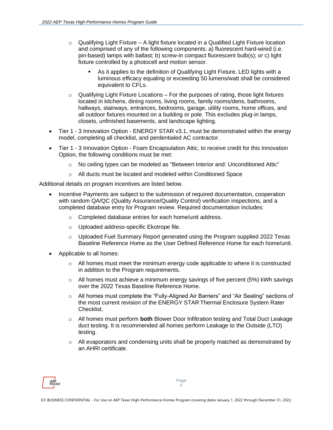- $\circ$  Qualifying Light Fixture A light fixture located in a Qualified Light Fixture location and comprised of any of the following components: a) fluorescent hard-wired (i.e. pin-based) lamps with ballast; b) screw-in compact fluorescent bulb(s); or c) light fixture controlled by a photocell and motion sensor.
	- As it applies to the definition of Qualifying Light Fixture, LED lights with a luminous efficacy equaling or exceeding 50 lumens/watt shall be considered equivalent to CFLs.
- $\circ$  Qualifying Light Fixture Locations For the purposes of rating, those light fixtures located in kitchens, dining rooms, living rooms, family rooms/dens, bathrooms, hallways, stairways, entrances, bedrooms, garage, utility rooms, home offices, and all outdoor fixtures mounted on a building or pole. This excludes plug-in lamps, closets, unfinished basements, and landscape lighting.
- Tier 1 3 Innovation Option ENERGY STAR v3.1, must be demonstrated within the energy model, completing all checklist, and perdentialed AC contractor.
- Tier 1 3 Innovation Option Foam Encapsulation Attic, to receive credit for this Innovation Option, the following conditions must be met:
	- No ceiling types can be modeled as "Between Interior and: Unconditioned Attic"
	- o All ducts must be located and modeled within Conditioned Space

Additional details on program incentives are listed below.

- Incentive Payments are subject to the submission of required documentation, cooperation with random QA/QC (Quality Assurance/Quality Control) verification inspections, and a completed database entry for Program review. Required documentation includes:
	- o Completed database entries for each home/unit address.
	- o Uploaded address-specific Ekotrope file.
	- $\circ$  Uploaded Fuel Summary Report generated using the Program supplied 2022 Texas Baseline Reference Home as the User Defined Reference Home for each home/unit.
- Applicable to all homes:
	- $\circ$  All homes must meet the minimum energy code applicable to where it is constructed in addition to the Program requirements.
	- $\circ$  All homes must achieve a minimum energy savings of five percent (5%) kWh savings over the 2022 Texas Baseline Reference Home.
	- o All homes must complete the "Fully-Aligned Air Barriers" and "Air Sealing" sections of the most current revision of the ENERGY STAR Thermal Enclosure System Rater Checklist.
	- o All homes must perform **both** Blower Door Infiltration testing and Total Duct Leakage duct testing. It is recommended all homes perform Leakage to the Outside (LTO) testing.
	- $\circ$  All evaporators and condensing units shall be properly matched as demonstrated by an AHRI certificate.

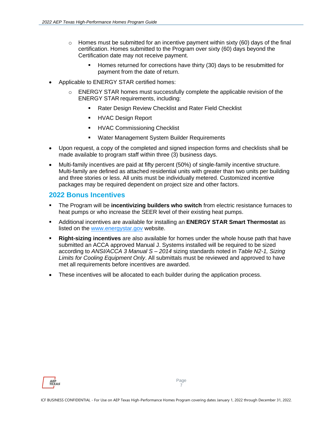- $\circ$  Homes must be submitted for an incentive payment within sixty (60) days of the final certification. Homes submitted to the Program over sixty (60) days beyond the Certification date may not receive payment.
	- Homes returned for corrections have thirty (30) days to be resubmitted for payment from the date of return.
- Applicable to ENERGY STAR certified homes:
	- o ENERGY STAR homes must successfully complete the applicable revision of the ENERGY STAR requirements, including:
		- Rater Design Review Checklist and Rater Field Checklist
		- HVAC Design Report
		- **HVAC Commissioning Checklist**
		- **Water Management System Builder Requirements**
- Upon request, a copy of the completed and signed inspection forms and checklists shall be made available to program staff within three (3) business days.
- Multi-family incentives are paid at fifty percent (50%) of single-family incentive structure. Multi-family are defined as attached residential units with greater than two units per building and three stories or less. All units must be individually metered. Customized incentive packages may be required dependent on project size and other factors.

#### <span id="page-8-0"></span>**2022 Bonus Incentives**

- **.** The Program will be **incentivizing builders who switch** from electric resistance furnaces to heat pumps or who increase the SEER level of their existing heat pumps.
- Additional incentives are available for installing an **ENERGY STAR Smart Thermostat** as listed on the [www.energystar.gov](http://www.energystar.gov/) website.
- **Right-sizing incentives** are also available for homes under the whole house path that have submitted an ACCA approved Manual J. Systems installed will be required to be sized according to *ANSI/ACCA 3 Manual S – 2014* sizing standards noted in *Table N2-1, Sizing Limits for Cooling Equipment Only*. All submittals must be reviewed and approved to have met all requirements before incentives are awarded.
- These incentives will be allocated to each builder during the application process.

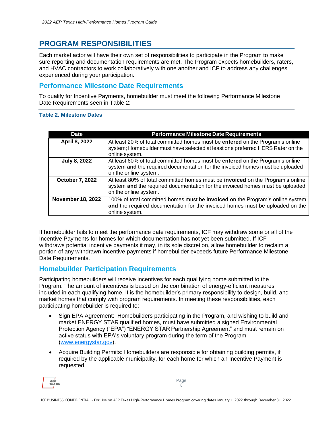# <span id="page-9-0"></span>**PROGRAM RESPONSIBILITIES**

Each market actor will have their own set of responsibilities to participate in the Program to make sure reporting and documentation requirements are met. The Program expects homebuilders, raters, and HVAC contractors to work collaboratively with one another and ICF to address any challenges experienced during your participation.

#### <span id="page-9-1"></span>**Performance Milestone Date Requirements**

To qualify for Incentive Payments, homebuilder must meet the following Performance Milestone Date Requirements seen in Table 2:

#### **Table 2. Milestone Dates**

| <b>Date</b>              | <b>Performance Milestone Date Requirements</b>                                                                                                                                           |
|--------------------------|------------------------------------------------------------------------------------------------------------------------------------------------------------------------------------------|
| April 8, 2022            | At least 20% of total committed homes must be entered on the Program's online<br>system; Homebuilder must have selected at least one preferred HERS Rater on the<br>online system.       |
| <b>July 8, 2022</b>      | At least 60% of total committed homes must be entered on the Program's online<br>system and the required documentation for the invoiced homes must be uploaded<br>on the online system.  |
| <b>October 7, 2022</b>   | At least 80% of total committed homes must be invoiced on the Program's online<br>system and the required documentation for the invoiced homes must be uploaded<br>on the online system. |
| <b>November 18, 2022</b> | 100% of total committed homes must be <b>invoiced</b> on the Program's online system<br>and the required documentation for the invoiced homes must be uploaded on the<br>online system.  |

If homebuilder fails to meet the performance date requirements, ICF may withdraw some or all of the Incentive Payments for homes for which documentation has not yet been submitted. If ICF withdraws potential incentive payments it may, in its sole discretion, allow homebuilder to reclaim a portion of any withdrawn incentive payments if homebuilder exceeds future Performance Milestone Date Requirements.

### <span id="page-9-2"></span>**Homebuilder Participation Requirements**

Participating homebuilders will receive incentives for each qualifying home submitted to the Program. The amount of incentives is based on the combination of energy-efficient measures included in each qualifying home. It is the homebuilder's primary responsibility to design, build, and market homes that comply with program requirements. In meeting these responsibilities, each participating homebuilder is required to:

- Sign EPA Agreement: Homebuilders participating in the Program, and wishing to build and market ENERGY STAR qualified homes, must have submitted a signed Environmental Protection Agency ("EPA") "ENERGY STAR Partnership Agreement" and must remain on active status with EPA's voluntary program during the term of the Program [\(www.energystar.gov\)](http://www.energystar.gov/).
- Acquire Building Permits: Homebuilders are responsible for obtaining building permits, if required by the applicable municipality, for each home for which an Incentive Payment is requested.

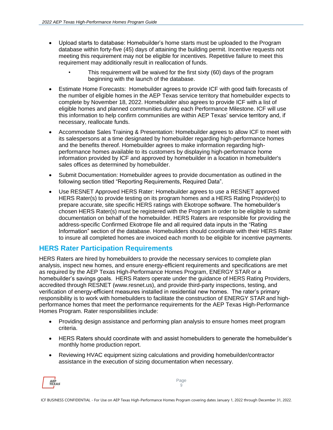- Upload starts to database: Homebuilder's home starts must be uploaded to the Program database within forty-five (45) days of attaining the building permit. Incentive requests not meeting this requirement may not be eligible for incentives. Repetitive failure to meet this requirement may additionally result in reallocation of funds.
	- This requirement will be waived for the first sixty (60) days of the program beginning with the launch of the database.
- Estimate Home Forecasts: Homebuilder agrees to provide ICF with good faith forecasts of the number of eligible homes in the AEP Texas service territory that homebuilder expects to complete by November 18, 2022. Homebuilder also agrees to provide ICF with a list of eligible homes and planned communities during each Performance Milestone. ICF will use this information to help confirm communities are within AEP Texas' service territory and, if necessary, reallocate funds.
- Accommodate Sales Training & Presentation: Homebuilder agrees to allow ICF to meet with its salespersons at a time designated by homebuilder regarding high-performance homes and the benefits thereof. Homebuilder agrees to make information regarding highperformance homes available to its customers by displaying high-performance home information provided by ICF and approved by homebuilder in a location in homebuilder's sales offices as determined by homebuilder.
- Submit Documentation: Homebuilder agrees to provide documentation as outlined in the following section titled "Reporting Requirements, Required Data".
- Use RESNET Approved HERS Rater: Homebuilder agrees to use a RESNET approved HERS Rater(s) to provide testing on its program homes and a HERS Rating Provider(s) to prepare accurate, site specific HERS ratings with Ekotrope software. The homebuilder's chosen HERS Rater(s) must be registered with the Program in order to be eligible to submit documentation on behalf of the homebuilder. HERS Raters are responsible for providing the address-specific Confirmed Ekotrope file and all required data inputs in the "Rating Information" section of the database. Homebuilders should coordinate with their HERS Rater to insure all completed homes are invoiced each month to be eligible for incentive payments.

#### <span id="page-10-0"></span>**HERS Rater Participation Requirements**

HERS Raters are hired by homebuilders to provide the necessary services to complete plan analysis, inspect new homes, and ensure energy-efficient requirements and specifications are met as required by the AEP Texas High-Performance Homes Program, ENERGY STAR or a homebuilder's savings goals. HERS Raters operate under the guidance of HERS Rating Providers, accredited through RESNET (www.resnet.us), and provide third-party inspections, testing, and verification of energy-efficient measures installed in residential new homes. The rater's primary responsibility is to work with homebuilders to facilitate the construction of ENERGY STAR and highperformance homes that meet the performance requirements for the AEP Texas High-Performance Homes Program. Rater responsibilities include:

- Providing design assistance and performing plan analysis to ensure homes meet program criteria.
- HERS Raters should coordinate with and assist homebuilders to generate the homebuilder's monthly home production report.
- Reviewing HVAC equipment sizing calculations and providing homebuilder/contractor assistance in the execution of sizing documentation when necessary.

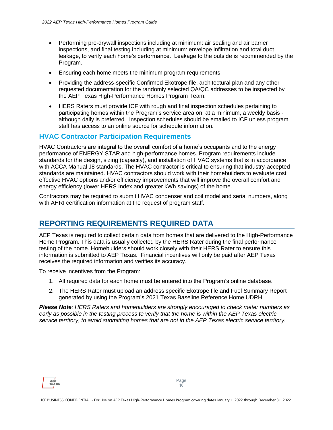- Performing pre-drywall inspections including at minimum: air sealing and air barrier inspections, and final testing including at minimum: envelope infiltration and total duct leakage, to verify each home's performance. Leakage to the outside is recommended by the Program.
- Ensuring each home meets the minimum program requirements.
- Providing the address-specific Confirmed Ekotrope file, architectural plan and any other requested documentation for the randomly selected QA/QC addresses to be inspected by the AEP Texas High-Performance Homes Program Team.
- HERS Raters must provide ICF with rough and final inspection schedules pertaining to participating homes within the Program's service area on, at a minimum, a weekly basis although daily is preferred. Inspection schedules should be emailed to ICF unless program staff has access to an online source for schedule information.

#### <span id="page-11-0"></span>**HVAC Contractor Participation Requirements**

HVAC Contractors are integral to the overall comfort of a home's occupants and to the energy performance of ENERGY STAR and high-performance homes. Program requirements include standards for the design, sizing (capacity), and installation of HVAC systems that is in accordance with ACCA Manual J8 standards. The HVAC contractor is critical to ensuring that industry-accepted standards are maintained. HVAC contractors should work with their homebuilders to evaluate cost effective HVAC options and/or efficiency improvements that will improve the overall comfort and energy efficiency (lower HERS Index and greater kWh savings) of the home.

Contractors may be required to submit HVAC condenser and coil model and serial numbers, along with AHRI certification information at the request of program staff.

### <span id="page-11-1"></span>**REPORTING REQUIREMENTS REQUIRED DATA**

AEP Texas is required to collect certain data from homes that are delivered to the High-Performance Home Program. This data is usually collected by the HERS Rater during the final performance testing of the home. Homebuilders should work closely with their HERS Rater to ensure this information is submitted to AEP Texas. Financial incentives will only be paid after AEP Texas receives the required information and verifies its accuracy.

To receive incentives from the Program:

- 1. All required data for each home must be entered into the Program's online database.
- 2. The HERS Rater must upload an address specific Ekotrope file and Fuel Summary Report generated by using the Program's 2021 Texas Baseline Reference Home UDRH.

*Please Note: HERS Raters and homebuilders are strongly encouraged to check meter numbers as early as possible in the testing process to verify that the home is within the AEP Texas electric service territory, to avoid submitting homes that are not in the AEP Texas electric service territory.*

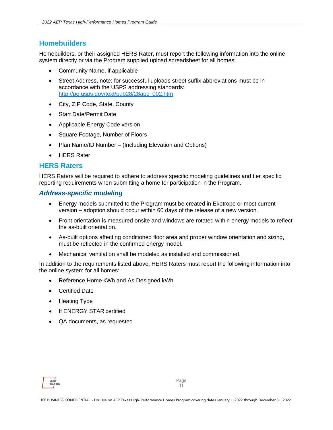#### <span id="page-12-0"></span>**Homebuilders**

Homebuilders, or their assigned HERS Rater, must report the following information into the online system directly or via the Program supplied upload spreadsheet for all homes:

- Community Name, if applicable
- Street Address, note: for successful uploads street suffix abbreviations must be in accordance with the USPS addressing standards: [http://pe.usps.gov/text/pub28/28apc\\_002.htm](http://pe.usps.gov/text/pub28/28apc_002.htm)
- City, ZIP Code, State, County
- **Start Date/Permit Date**
- Applicable Energy Code version
- Square Footage, Number of Floors
- Plan Name/ID Number (Including Elevation and Options)
- **HERS Rater**

#### <span id="page-12-1"></span>**HERS Raters**

HERS Raters will be required to adhere to address specific modeling guidelines and tier specific reporting requirements when submitting a home for participation in the Program.

#### <span id="page-12-2"></span>*Address-specific modeling*

- Energy models submitted to the Program must be created in Ekotrope or most current version – adoption should occur within 60 days of the release of a new version.
- Front orientation is measured onsite and windows are rotated within energy models to reflect the as-built orientation.
- As-built options affecting conditioned floor area and proper window orientation and sizing, must be reflected in the confirmed energy model.
- Mechanical ventilation shall be modeled as installed and commissioned.

In addition to the requirements listed above, HERS Raters must report the following information into the online system for all homes:

- Reference Home kWh and As-Designed kWh
- Certified Date
- Heating Type
- If ENERGY STAR certified
- QA documents, as requested

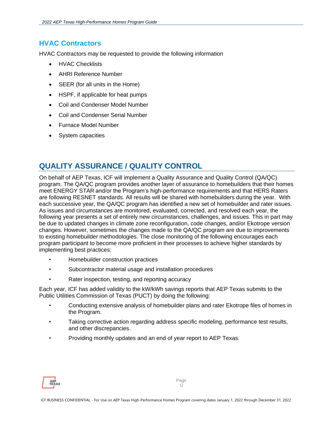### <span id="page-13-0"></span>**HVAC Contractors**

HVAC Contractors may be requested to provide the following information

- **HVAC Checklists**
- AHRI Reference Number
- SEER (for all units in the Home)
- HSPF, if applicable for heat pumps
- Coil and Condenser Model Number
- Coil and Condenser Serial Number
- Furnace Model Number
- System capacities

# <span id="page-13-1"></span>**QUALITY ASSURANCE / QUALITY CONTROL**

On behalf of AEP Texas, ICF will implement a Quality Assurance and Quality Control (QA/QC) program. The QA/QC program provides another layer of assurance to homebuilders that their homes meet ENERGY STAR and/or the Program's high-performance requirements and that HERS Raters are following RESNET standards. All results will be shared with homebuilders during the year. With each successive year, the QA/QC program has identified a new set of homebuilder and rater issues. As issues and circumstances are monitored, evaluated, corrected, and resolved each year, the following year presents a set of entirely new circumstances, challenges, and issues. This in part may be due to updated changes in climate zone reconfiguration, code changes, and/or Ekotrope version changes. However, sometimes the changes made to the QA/QC program are due to improvements to existing homebuilder methodologies. The close monitoring of the following encourages each program participant to become more proficient in their processes to achieve higher standards by implementing best practices:

- Homebuilder construction practices
- Subcontractor material usage and installation procedures
- Rater inspection, testing, and reporting accuracy

Each year, ICF has added validity to the kW/kWh savings reports that AEP Texas submits to the Public Utilities Commission of Texas (PUCT) by doing the following:

- Conducting extensive analysis of homebuilder plans and rater Ekotrope files of homes in the Program.
- Taking corrective action regarding address specific modeling, performance test results, and other discrepancies.
- Providing monthly updates and an end of year report to AEP Texas.

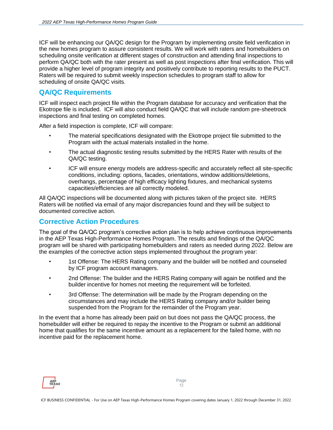ICF will be enhancing our QA/QC design for the Program by implementing onsite field verification in the new homes program to assure consistent results. We will work with raters and homebuilders on scheduling onsite verification at different stages of construction and attending final inspections to perform QA/QC both with the rater present as well as post inspections after final verification. This will provide a higher level of program integrity and positively contribute to reporting results to the PUCT. Raters will be required to submit weekly inspection schedules to program staff to allow for scheduling of onsite QA/QC visits.

#### <span id="page-14-0"></span>**QA/QC Requirements**

ICF will inspect each project file within the Program database for accuracy and verification that the Ekotrope file is included. ICF will also conduct field QA/QC that will include random pre-sheetrock inspections and final testing on completed homes.

After a field inspection is complete, ICF will compare:

- The material specifications designated with the Ekotrope project file submitted to the Program with the actual materials installed in the home.
- The actual diagnostic testing results submitted by the HERS Rater with results of the QA/QC testing.
- ICF will ensure energy models are address-specific and accurately reflect all site-specific conditions, including: options, facades, orientations, window additions/deletions, overhangs, percentage of high efficacy lighting fixtures, and mechanical systems capacities/efficiencies are all correctly modeled.

All QA/QC inspections will be documented along with pictures taken of the project site. HERS Raters will be notified via email of any major discrepancies found and they will be subject to documented corrective action.

#### <span id="page-14-1"></span>**Corrective Action Procedures**

The goal of the QA/QC program's corrective action plan is to help achieve continuous improvements in the AEP Texas High-Performance Homes Program. The results and findings of the QA/QC program will be shared with participating homebuilders and raters as needed during 2022. Below are the examples of the corrective action steps implemented throughout the program year:

- 1st Offense: The HERS Rating company and the builder will be notified and counseled by ICF program account managers.
- 2nd Offense: The builder and the HERS Rating company will again be notified and the builder incentive for homes not meeting the requirement will be forfeited.
- 3rd Offense: The determination will be made by the Program depending on the circumstances and may include the HERS Rating company and/or builder being suspended from the Program for the remainder of the Program year.

In the event that a home has already been paid on but does not pass the QA/QC process, the homebuilder will either be required to repay the incentive to the Program or submit an additional home that qualifies for the same incentive amount as a replacement for the failed home, with no incentive paid for the replacement home.

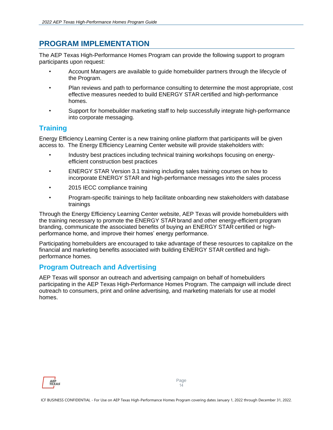# <span id="page-15-0"></span>**PROGRAM IMPLEMENTATION**

The AEP Texas High-Performance Homes Program can provide the following support to program participants upon request:

- Account Managers are available to guide homebuilder partners through the lifecycle of the Program.
- Plan reviews and path to performance consulting to determine the most appropriate, cost effective measures needed to build ENERGY STAR certified and high-performance homes.
- Support for homebuilder marketing staff to help successfully integrate high-performance into corporate messaging.

#### <span id="page-15-1"></span>**Training**

Energy Efficiency Learning Center is a new training online platform that participants will be given access to. The Energy Efficiency Learning Center website will provide stakeholders with:

- Industry best practices including technical training workshops focusing on energyefficient construction best practices
- ENERGY STAR Version 3.1 training including sales training courses on how to incorporate ENERGY STAR and high-performance messages into the sales process
- 2015 IECC compliance training
- Program-specific trainings to help facilitate onboarding new stakeholders with database trainings

Through the Energy Efficiency Learning Center website, AEP Texas will provide homebuilders with the training necessary to promote the ENERGY STAR brand and other energy-efficient program branding, communicate the associated benefits of buying an ENERGY STAR certified or highperformance home, and improve their homes' energy performance.

Participating homebuilders are encouraged to take advantage of these resources to capitalize on the financial and marketing benefits associated with building ENERGY STAR certified and highperformance homes.

#### <span id="page-15-2"></span>**Program Outreach and Advertising**

AEP Texas will sponsor an outreach and advertising campaign on behalf of homebuilders participating in the AEP Texas High-Performance Homes Program. The campaign will include direct outreach to consumers, print and online advertising, and marketing materials for use at model homes.

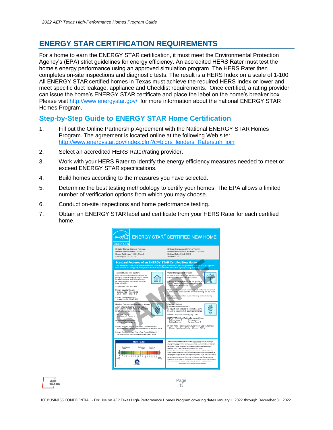# <span id="page-16-0"></span>**ENERGY STAR CERTIFICATION REQUIREMENTS**

For a home to earn the ENERGY STAR certification, it must meet the Environmental Protection Agency's (EPA) strict guidelines for energy efficiency. An accredited HERS Rater must test the home's energy performance using an approved simulation program. The HERS Rater then completes on-site inspections and diagnostic tests. The result is a HERS Index on a scale of 1-100. All ENERGY STAR certified homes in Texas must achieve the required HERS Index or lower and meet specific duct leakage, appliance and Checklist requirements. Once certified, a rating provider can issue the home's ENERGY STAR certificate and place the label on the home's breaker box. Please visit<http://www.energystar.gov/> for more information about the national ENERGY STAR Homes Program.

#### <span id="page-16-1"></span>**Step-by-Step Guide to ENERGY STAR Home Certification**

- 1. Fill out the Online Partnership Agreement with the National ENERGY STAR Homes Program. The agreement is located online at the following Web site: [http://www.energystar.gov/index.cfm?c=bldrs\\_lenders\\_Raters.nh\\_join](http://www.energystar.gov/index.cfm?c=bldrs_lenders_Raters.nh_join)
- 2. Select an accredited HERS Rater/rating provider.
- 3. Work with your HERS Rater to identify the energy efficiency measures needed to meet or exceed ENERGY STAR specifications.
- 4. Build homes according to the measures you have selected.
- 5. Determine the best testing methodology to certify your homes. The EPA allows a limited number of verification options from which you may choose.
- 6. Conduct on-site inspections and home performance testing.
- 7. Obtain an ENERGY STAR label and certificate from your HERS Rater for each certified home.



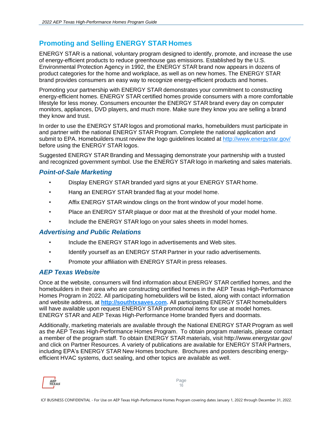### <span id="page-17-0"></span>**Promoting and Selling ENERGY STAR Homes**

ENERGY STAR is a national, voluntary program designed to identify, promote, and increase the use of energy-efficient products to reduce greenhouse gas emissions. Established by the U.S. Environmental Protection Agency in 1992, the ENERGY STAR brand now appears in dozens of product categories for the home and workplace, as well as on new homes. The ENERGY STAR brand provides consumers an easy way to recognize energy-efficient products and homes.

Promoting your partnership with ENERGY STAR demonstrates your commitment to constructing energy-efficient homes. ENERGY STAR certified homes provide consumers with a more comfortable lifestyle for less money. Consumers encounter the ENERGY STAR brand every day on computer monitors, appliances, DVD players, and much more. Make sure they know you are selling a brand they know and trust.

In order to use the ENERGY STAR logos and promotional marks, homebuilders must participate in and partner with the national ENERGY STAR Program. Complete the national application and submit to EPA. Homebuilders must review the logo guidelines located at<http://www.energystar.gov/> before using the ENERGY STAR logos.

Suggested ENERGY STAR Branding and Messaging demonstrate your partnership with a trusted and recognized government symbol. Use the ENERGY STAR logo in marketing and sales materials.

#### <span id="page-17-1"></span>*Point-of-Sale Marketing*

- Display ENERGY STAR branded yard signs at your ENERGY STAR home.
- Hang an ENERGY STAR branded flag at your model home.
- Affix ENERGY STAR window clings on the front window of your model home.
- Place an ENERGY STAR plaque or door mat at the threshold of your model home.
- Include the ENERGY STAR logo on your sales sheets in model homes.

#### <span id="page-17-2"></span>*Advertising and Public Relations*

- Include the ENERGY STAR logo in advertisements and Web sites.
- Identify yourself as an ENERGY STAR Partner in your radio advertisements.
- Promote your affiliation with ENERGY STAR in press releases.

#### <span id="page-17-3"></span>*AEP Texas Website*

Once at the website, consumers will find information about ENERGY STAR certified homes, and the homebuilders in their area who are constructing certified homes in the AEP Texas High-Performance Homes Program in 2022. All participating homebuilders will be listed, along with contact information and website address, at **[http://southtxsaves.com.](http://southtxsaves.com/)** All participating ENERGY STAR homebuilders will have available upon request ENERGY STAR promotional items for use at model homes. ENERGY STAR and AEP Texas High-Performance Home branded flyers and doormats.

Additionally, marketing materials are available through the National ENERGY STAR Program as well as the AEP Texas High-Performance Homes Program. To obtain program materials, please contact a member of the program staff. To obtain ENERGY STAR materials, visit http://www.energystar.gov/ and click on Partner Resources. A variety of publications are available for ENERGY STAR Partners, including EPA's ENERGY STAR New Homes brochure. Brochures and posters describing energyefficient HVAC systems, duct sealing, and other topics are available as well.

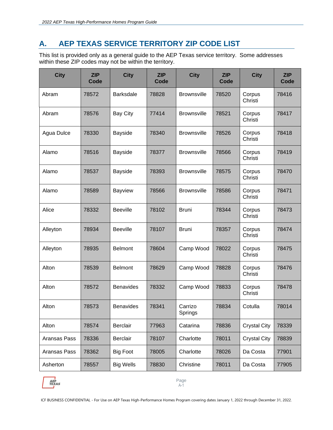# <span id="page-18-0"></span>**A. AEP TEXAS SERVICE TERRITORY ZIP CODE LIST**

This list is provided only as a general guide to the AEP Texas service territory. Some addresses within these ZIP codes may not be within the territory.

| <b>City</b>  | <b>ZIP</b><br>Code | <b>City</b>      | <b>ZIP</b><br>Code | <b>City</b>        | <b>ZIP</b><br>Code | <b>City</b>         | <b>ZIP</b><br>Code |
|--------------|--------------------|------------------|--------------------|--------------------|--------------------|---------------------|--------------------|
| Abram        | 78572              | <b>Barksdale</b> | 78828              | <b>Brownsville</b> | 78520              | Corpus<br>Christi   | 78416              |
| Abram        | 78576              | <b>Bay City</b>  | 77414              | <b>Brownsville</b> | 78521              | Corpus<br>Christi   | 78417              |
| Agua Dulce   | 78330              | <b>Bayside</b>   | 78340              | <b>Brownsville</b> | 78526              | Corpus<br>Christi   | 78418              |
| Alamo        | 78516              | <b>Bayside</b>   | 78377              | <b>Brownsville</b> | 78566              | Corpus<br>Christi   | 78419              |
| Alamo        | 78537              | <b>Bayside</b>   | 78393              | <b>Brownsville</b> | 78575              | Corpus<br>Christi   | 78470              |
| Alamo        | 78589              | <b>Bayview</b>   | 78566              | <b>Brownsville</b> | 78586              | Corpus<br>Christi   | 78471              |
| Alice        | 78332              | <b>Beeville</b>  | 78102              | <b>Bruni</b>       | 78344              | Corpus<br>Christi   | 78473              |
| Alleyton     | 78934              | <b>Beeville</b>  | 78107              | <b>Bruni</b>       | 78357              | Corpus<br>Christi   | 78474              |
| Alleyton     | 78935              | <b>Belmont</b>   | 78604              | Camp Wood          | 78022              | Corpus<br>Christi   | 78475              |
| Alton        | 78539              | <b>Belmont</b>   | 78629              | Camp Wood          | 78828              | Corpus<br>Christi   | 78476              |
| Alton        | 78572              | <b>Benavides</b> | 78332              | Camp Wood          | 78833              | Corpus<br>Christi   | 78478              |
| Alton        | 78573              | <b>Benavides</b> | 78341              | Carrizo<br>Springs | 78834              | Cotulla             | 78014              |
| Alton        | 78574              | <b>Berclair</b>  | 77963              | Catarina           | 78836              | <b>Crystal City</b> | 78339              |
| Aransas Pass | 78336              | <b>Berclair</b>  | 78107              | Charlotte          | 78011              | <b>Crystal City</b> | 78839              |
| Aransas Pass | 78362              | <b>Big Foot</b>  | 78005              | Charlotte          | 78026              | Da Costa            | 77901              |
| Asherton     | 78557              | <b>Big Wells</b> | 78830              | Christine          | 78011              | Da Costa            | 77905              |



Page A-1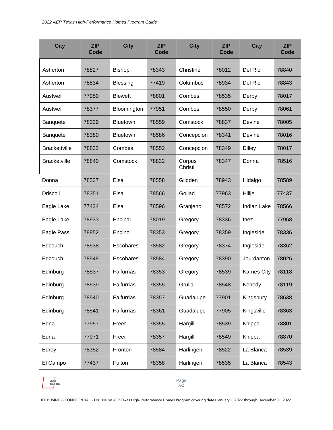| <b>City</b>          | <b>ZIP</b><br>Code | <b>City</b>       | ZIP<br>Code | <b>City</b>       | <b>ZIP</b><br>Code | <b>City</b>        | <b>ZIP</b><br>Code |
|----------------------|--------------------|-------------------|-------------|-------------------|--------------------|--------------------|--------------------|
| Asherton             | 78827              | <b>Bishop</b>     | 78343       | Christine         | 78012              | Del Rio            | 78840              |
| Asherton             | 78834              | <b>Blessing</b>   | 77419       | Columbus          | 78934              | Del Rio            | 78843              |
| Austwell             | 77950              | <b>Blewett</b>    | 78801       | Combes            | 78535              | Derby              | 78017              |
| Austwell             | 78377              | Bloomington       | 77951       | Combes            | 78550              | Derby              | 78061              |
| <b>Banquete</b>      | 78339              | <b>Bluetown</b>   | 78559       | Comstock          | 78837              | Devine             | 78005              |
| <b>Banquete</b>      | 78380              | <b>Bluetown</b>   | 78586       | Concepcion        | 78341              | Devine             | 78016              |
| <b>Brackettville</b> | 78832              | Combes            | 78552       | Concepcion        | 78349              | <b>Dilley</b>      | 78017              |
| <b>Bracketville</b>  | 78840              | Comstock          | 78832       | Corpus<br>Christi | 78347              | Donna              | 78516              |
| Donna                | 78537              | Elsa              | 78558       | Glidden           | 78943              | Hidalgo            | 78589              |
| <b>Driscoll</b>      | 78351              | Elsa              | 78566       | Goliad            | 77963              | Hillje             | 77437              |
| Eagle Lake           | 77434              | Elsa              | 78596       | Granjeno          | 78572              | <b>Indian Lake</b> | 78566              |
| Eagle Lake           | 78933              | Encinal           | 78019       | Gregory           | 78336              | Inez               | 77968              |
| Eagle Pass           | 78852              | Encino            | 78353       | Gregory           | 78359              | Ingleside          | 78336              |
| Edcouch              | 78538              | Escobares         | 78582       | Gregory           | 78374              | Ingleside          | 78362              |
| Edcouch              | 78549              | Escobares         | 78584       | Gregory           | 78390              | Jourdanton         | 78026              |
| Edinburg             | 78537              | <b>Falfurrias</b> | 78353       | Gregory           | 78539              | <b>Karnes City</b> | 78118              |
| Edinburg             | 78539              | Falfurrias        | 78355       | Grulla            | 78548              | Kenedy             | 78119              |
| Edinburg             | 78540              | Falfurrias        | 78357       | Guadalupe         | 77901              | Kingsbury          | 78638              |
| Edinburg             | 78541              | Falfurrias        | 78361       | Guadalupe         | 77905              | Kingsville         | 78363              |
| Edna                 | 77957              | Freer             | 78355       | Hargill           | 78539              | Knippa             | 78801              |
| Edna                 | 77971              | Freer             | 78357       | Hargill           | 78549              | Knippa             | 78870              |
| Edroy                | 78352              | Fronton           | 78584       | Harlingen         | 78522              | La Blanca          | 78539              |
| El Campo             | 77437              | Fulton            | 78358       | Harlingen         | 78535              | La Blanca          | 78543              |



Page A-2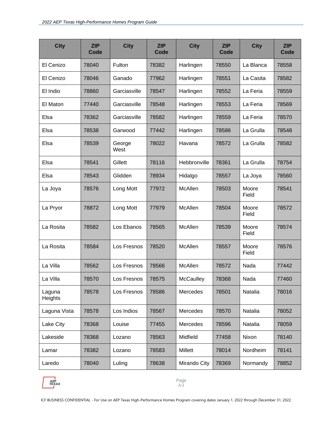| <b>City</b>       | <b>ZIP</b><br><b>Code</b> | <b>City</b>    | <b>ZIP</b><br>Code | <b>City</b>  | <b>ZIP</b><br>Code | <b>City</b>    | <b>ZIP</b><br>Code |
|-------------------|---------------------------|----------------|--------------------|--------------|--------------------|----------------|--------------------|
| El Cenizo         | 78040                     | Fulton         | 78382              | Harlingen    | 78550              | La Blanca      | 78558              |
| El Cenizo         | 78046                     | Ganado         | 77962              | Harlingen    | 78551              | La Casita      | 78582              |
| El Indio          | 78860                     | Garciasville   | 78547              | Harlingen    | 78552              | La Feria       | 78559              |
| El Maton          | 77440                     | Garciasville   | 78548              | Harlingen    | 78553              | La Feria       | 78569              |
| Elsa              | 78362                     | Garciasville   | 78582              | Harlingen    | 78559              | La Feria       | 78570              |
| Elsa              | 78538                     | Garwood        | 77442              | Harlingen    | 78586              | La Grulla      | 78548              |
| Elsa              | 78539                     | George<br>West | 78022              | Havana       | 78572              | La Grulla      | 78582              |
| Elsa              | 78541                     | Gillett        | 78116              | Hebbronville | 78361              | La Grulla      | 78754              |
| Elsa              | 78543                     | Glidden        | 78934              | Hidalgo      | 78557              | La Joya        | 78560              |
| La Joya           | 78576                     | Long Mott      | 77972              | McAllen      | 78503              | Moore<br>Field | 78541              |
| La Pryor          | 78872                     | Long Mott      | 77979              | McAllen      | 78504              | Moore<br>Field | 78572              |
| La Rosita         | 78582                     | Los Ebanos     | 78565              | McAllen      | 78539              | Moore<br>Field | 78574              |
| La Rosita         | 78584                     | Los Fresnos    | 78520              | McAllen      | 78557              | Moore<br>Field | 78576              |
| La Villa          | 78562                     | Los Fresnos    | 78566              | McAllen      | 78572              | Nada           | 77442              |
| La Villa          | 78570                     | Los Fresnos    | 78575              | McCaulley    | 78368              | Nada           | 77460              |
| Laguna<br>Heights | 78578                     | Los Fresnos    | 78586              | Mercedes     | 78501              | Natalia        | 78016              |
| Laguna Vista      | 78578                     | Los Indios     | 78567              | Mercedes     | 78570              | Natalia        | 78052              |
| Lake City         | 78368                     | Louise         | 77455              | Mercedes     | 78596              | Natalia        | 78059              |
| Lakeside          | 78368                     | Lozano         | 78563              | Midfield     | 77458              | Nixon          | 78140              |
| Lamar             | 78382                     | Lozano         | 78583              | Millett      | 78014              | Nordheim       | 78141              |
| Laredo            | 78040                     | Luling         | 78638              | Mirando City | 78369              | Normandy       | 78852              |



Page A-3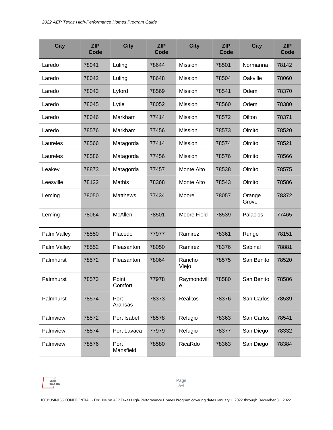| <b>City</b> | <b>ZIP</b><br><b>Code</b> | <b>City</b>       | <b>ZIP</b><br>Code | <b>City</b>      | ZIP<br>Code | <b>City</b>     | <b>ZIP</b><br>Code |
|-------------|---------------------------|-------------------|--------------------|------------------|-------------|-----------------|--------------------|
| Laredo      | 78041                     | Luling            | 78644              | Mission          | 78501       | Normanna        | 78142              |
| Laredo      | 78042                     | Luling            | 78648              | Mission          | 78504       | Oakville        | 78060              |
| Laredo      | 78043                     | Lyford            | 78569              | Mission          | 78541       | Odem            | 78370              |
| Laredo      | 78045                     | Lytle             | 78052              | Mission          | 78560       | Odem            | 78380              |
| Laredo      | 78046                     | Markham           | 77414              | <b>Mission</b>   | 78572       | Oilton          | 78371              |
| Laredo      | 78576                     | Markham           | 77456              | Mission          | 78573       | Olmito          | 78520              |
| Laureles    | 78566                     | Matagorda         | 77414              | Mission          | 78574       | Olmito          | 78521              |
| Laureles    | 78586                     | Matagorda         | 77456              | Mission          | 78576       | Olmito          | 78566              |
| Leakey      | 78873                     | Matagorda         | 77457              | Monte Alto       | 78538       | Olmito          | 78575              |
| Leesville   | 78122                     | Mathis            | 78368              | Monte Alto       | 78543       | Olmito          | 78586              |
| Leming      | 78050                     | <b>Matthews</b>   | 77434              | Moore            | 78057       | Orange<br>Grove | 78372              |
| Leming      | 78064                     | McAllen           | 78501              | Moore Field      | 78539       | Palacios        | 77465              |
| Palm Valley | 78550                     | Placedo           | 77977              | Ramirez          | 78361       | Runge           | 78151              |
| Palm Valley | 78552                     | Pleasanton        | 78050              | Ramirez          | 78376       | Sabinal         | 78881              |
| Palmhurst   | 78572                     | Pleasanton        | 78064              | Rancho<br>Viejo  | 78575       | San Benito      | 78520              |
| Palmhurst   | 78573                     | Point<br>Comfort  | 77978              | Raymondvill<br>е | 78580       | San Benito      | 78586              |
| Palmhurst   | 78574                     | Port<br>Aransas   | 78373              | <b>Realitos</b>  | 78376       | San Carlos      | 78539              |
| Palmview    | 78572                     | Port Isabel       | 78578              | Refugio          | 78363       | San Carlos      | 78541              |
| Palmview    | 78574                     | Port Lavaca       | 77979              | Refugio          | 78377       | San Diego       | 78332              |
| Palmview    | 78576                     | Port<br>Mansfield | 78580              | RicaRdo          | 78363       | San Diego       | 78384              |

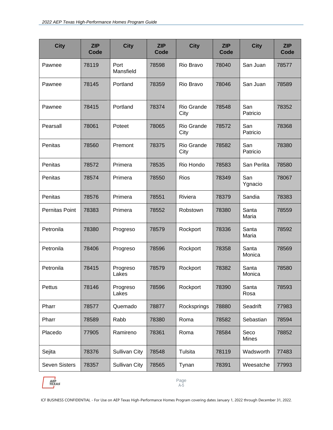| <b>City</b>          | <b>ZIP</b><br>Code | <b>City</b>          | <b>ZIP</b><br>Code | <b>City</b>        | <b>ZIP</b><br>Code | <b>City</b>          | <b>ZIP</b><br>Code |
|----------------------|--------------------|----------------------|--------------------|--------------------|--------------------|----------------------|--------------------|
| Pawnee               | 78119              | Port<br>Mansfield    | 78598              | Rio Bravo          | 78040              | San Juan             | 78577              |
| Pawnee               | 78145              | Portland             | 78359              | Rio Bravo          | 78046              | San Juan             | 78589              |
| Pawnee               | 78415              | Portland             | 78374              | Rio Grande<br>City | 78548              | San<br>Patricio      | 78352              |
| Pearsall             | 78061              | Poteet               | 78065              | Rio Grande<br>City | 78572              | San<br>Patricio      | 78368              |
| Penitas              | 78560              | Premont              | 78375              | Rio Grande<br>City | 78582              | San<br>Patricio      | 78380              |
| Penitas              | 78572              | Primera              | 78535              | Rio Hondo          | 78583              | San Perlita          | 78580              |
| Penitas              | 78574              | Primera              | 78550              | <b>Rios</b>        | 78349              | San<br>Ygnacio       | 78067              |
| Penitas              | 78576              | Primera              | 78551              | Riviera            | 78379              | Sandia               | 78383              |
| Pernitas Point       | 78383              | Primera              | 78552              | Robstown           | 78380              | Santa<br>Maria       | 78559              |
| Petronila            | 78380              | Progreso             | 78579              | Rockport           | 78336              | Santa<br>Maria       | 78592              |
| Petronila            | 78406              | Progreso             | 78596              | Rockport           | 78358              | Santa<br>Monica      | 78569              |
| Petronila            | 78415              | Progreso<br>Lakes    | 78579              | Rockport           | 78382              | Santa<br>Monica      | 78580              |
| Pettus               | 78146              | Progreso<br>Lakes    | 78596              | Rockport           | 78390              | Santa<br>Rosa        | 78593              |
| Pharr                | 78577              | Quemado              | 78877              | Rocksprings        | 78880              | Seadrift             | 77983              |
| Pharr                | 78589              | Rabb                 | 78380              | Roma               | 78582              | Sebastian            | 78594              |
| Placedo              | 77905              | Ramireno             | 78361              | Roma               | 78584              | Seco<br><b>Mines</b> | 78852              |
| Sejita               | 78376              | <b>Sullivan City</b> | 78548              | Tulsita            | 78119              | Wadsworth            | 77483              |
| <b>Seven Sisters</b> | 78357              | Sullivan City        | 78565              | Tynan              | 78391              | Weesatche            | 77993              |

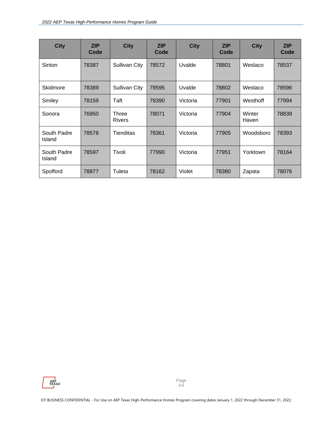| <b>City</b>           | <b>ZIP</b><br>Code | <b>City</b>            | <b>ZIP</b><br>Code | <b>City</b> | <b>ZIP</b><br>Code | <b>City</b>     | <b>ZIP</b><br>Code |
|-----------------------|--------------------|------------------------|--------------------|-------------|--------------------|-----------------|--------------------|
| Sinton                | 78387              | <b>Sullivan City</b>   | 78572              | Uvalde      | 78801              | Weslaco         | 78537              |
| Skidmore              | 78389              | Sullivan City          | 78595              | Uvalde      | 78802              | Weslaco         | 78596              |
| Smiley                | 78159              | Taft                   | 78390              | Victoria    | 77901              | Westhoff        | 77994              |
| Sonora                | 76950              | Three<br><b>Rivers</b> | 78071              | Victoria    | 77904              | Winter<br>Haven | 78839              |
| South Padre<br>Island | 78578              | Tienditas              | 78361              | Victoria    | 77905              | Woodsboro       | 78393              |
| South Padre<br>Island | 78597              | Tivoli                 | 77990              | Victoria    | 77951              | Yorktown        | 78164              |
| Spofford              | 78877              | Tuleta                 | 78162              | Violet      | 78380              | Zapata          | 78076              |

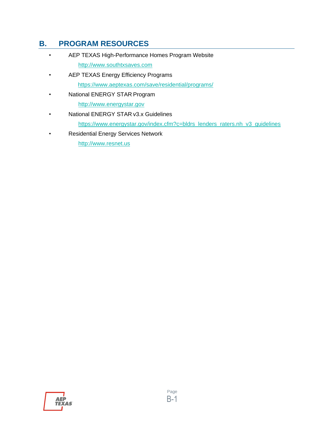# <span id="page-24-0"></span>**B. PROGRAM RESOURCES**

- AEP TEXAS High-Performance Homes Program Website [http://www.southtxsaves.com](http://www.southtxsaves.com/)
- AEP TEXAS Energy Efficiency Programs <https://www.aeptexas.com/save/residential/programs/>
- National ENERGY STAR Program

[http://www.energystar.gov](http://www.energystar.gov/)

- National ENERGY STAR v3.x Guidelines [https://www.energystar.gov/index.cfm?c=bldrs\\_lenders\\_raters.nh\\_v3\\_guidelines](https://www.energystar.gov/index.cfm?c=bldrs_lenders_raters.nh_v3_guidelines)
- Residential Energy Services Network

[http://www.resnet.us](http://www.resnet.us/)